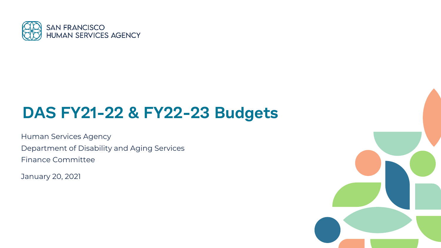

#### **DAS FY21-22 & FY22-23 Budgets**

Human Services Agency Department of Disability and Aging Services Finance Committee

January 20, 2021

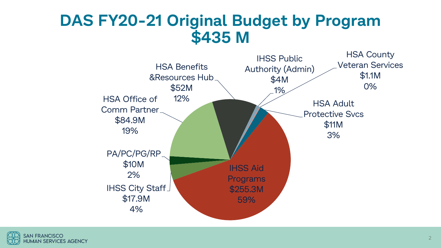#### **DAS FY20-21 Original Budget by Program \$435 M**



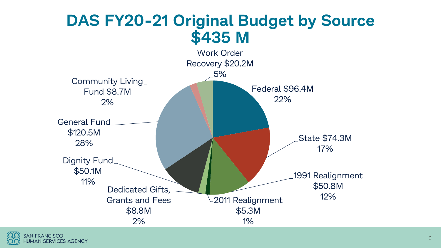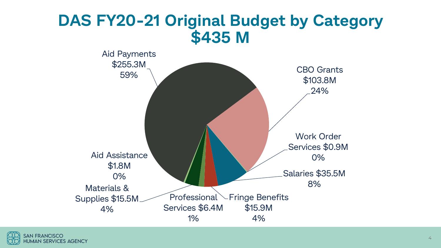#### **DAS FY20-21 Original Budget by Category \$435 M**

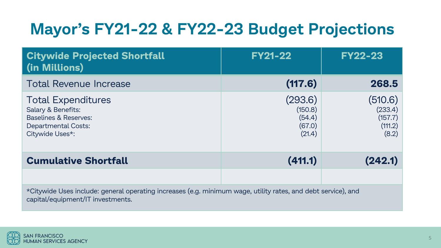# **Mayor's FY21-22 & FY22-23 Budget Projections**

| <b>Citywide Projected Shortfall</b><br>(in Millions)                                                                                               | <b>FY21-22</b>                                   | <b>FY22-23</b>                                    |  |
|----------------------------------------------------------------------------------------------------------------------------------------------------|--------------------------------------------------|---------------------------------------------------|--|
| <b>Total Revenue Increase</b>                                                                                                                      | (117.6)                                          | 268.5                                             |  |
| <b>Total Expenditures</b><br>Salary & Benefits:<br><b>Baselines &amp; Reserves:</b><br><b>Departmental Costs:</b><br>Citywide Uses*:               | (293.6)<br>(150.8)<br>(54.4)<br>(67.0)<br>(21.4) | (510.6)<br>(233.4)<br>(157.7)<br>(111.2)<br>(8.2) |  |
| <b>Cumulative Shortfall</b>                                                                                                                        | (411.1)                                          | (242.1)                                           |  |
|                                                                                                                                                    |                                                  |                                                   |  |
| *Citywide Uses include: general operating increases (e.g. minimum wage, utility rates, and debt service), and<br>capital/equipment/IT investments. |                                                  |                                                   |  |

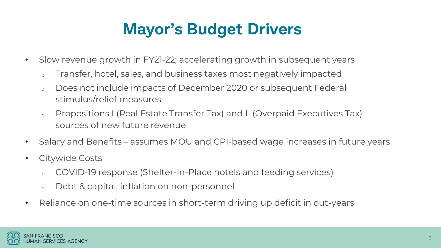### **Mayor's Budget Drivers**

- Slow revenue growth in FY21-22; accelerating growth in subsequent years
	- o Transfer, hotel, sales, and business taxes most negatively impacted
	- o Does not include impacts of December 2020 or subsequent Federal stimulus/relief measures
	- o Propositions I (Real Estate Transfer Tax) and L (Overpaid Executives Tax) sources of new future revenue
- Salary and Benefits assumes MOU and CPI-based wage increases in future years
- Citywide Costs
	- COVID-19 response (Shelter-in-Place hotels and feeding services)
	- <sup>o</sup> Debt & capital, inflation on non-personnel
- Reliance on one-time sources in short-term driving up deficit in out-years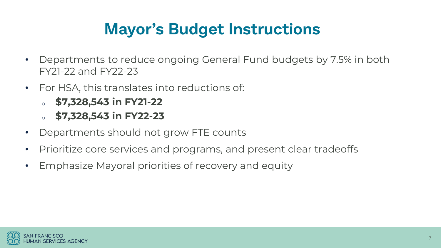### **Mayor's Budget Instructions**

- Departments to reduce ongoing General Fund budgets by 7.5% in both FY21-22 and FY22-23
- For HSA, this translates into reductions of:
	- <sup>o</sup> **\$7,328,543 in FY21-22**
	- <sup>o</sup> **\$7,328,543 in FY22-23**
- Departments should not grow FTE counts
- Prioritize core services and programs, and present clear tradeoffs
- Emphasize Mayoral priorities of recovery and equity

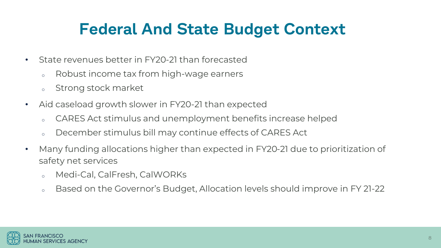### **Federal And State Budget Context**

- State revenues better in FY20-21 than forecasted
	- o Robust income tax from high-wage earners
	- <sup>o</sup> Strong stock market
- Aid caseload growth slower in FY20-21 than expected
	- <sup>o</sup> CARES Act stimulus and unemployment benefits increase helped
	- <sup>o</sup> December stimulus bill may continue effects of CARES Act
- Many funding allocations higher than expected in FY20-21 due to prioritization of safety net services
	- <sup>o</sup> Medi-Cal, CalFresh, CalWORKs
	- o Based on the Governor's Budget, Allocation levels should improve in FY 21-22

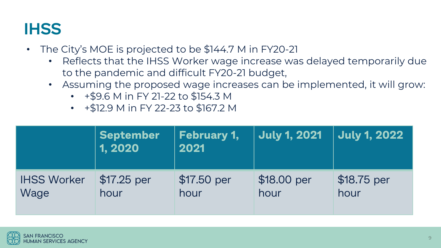### **IHSS**

- The City's MOE is projected to be \$144.7 M in FY20-21
	- Reflects that the IHSS Worker wage increase was delayed temporarily due to the pandemic and difficult FY20-21 budget,
	- Assuming the proposed wage increases can be implemented, it will grow:
		- +\$9.6 M in FY 21-22 to \$154.3 M
		- +\$12.9 M in FY 22-23 to \$167.2 M

|                    | <b>September</b><br>1, 2020 | <b>February 1,</b><br>2021 | <b>July 1, 2021</b> | <b>July 1, 2022</b> |
|--------------------|-----------------------------|----------------------------|---------------------|---------------------|
| <b>IHSS Worker</b> | $$17.25$ per                | \$17.50 per                | \$18.00 per         | \$18.75 per         |
| Wage               | hour                        | hour                       | hour                | hour                |

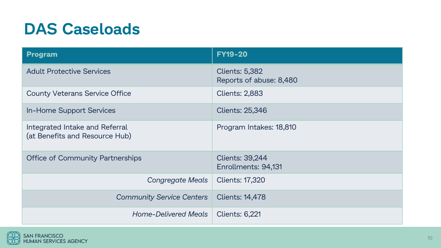#### **DAS Caseloads**

| <b>Program</b>                                                   | <b>FY19-20</b>                                   |
|------------------------------------------------------------------|--------------------------------------------------|
| <b>Adult Protective Services</b>                                 | <b>Clients: 5,382</b><br>Reports of abuse: 8,480 |
| <b>County Veterans Service Office</b>                            | <b>Clients: 2,883</b>                            |
| In-Home Support Services                                         | <b>Clients: 25,346</b>                           |
| Integrated Intake and Referral<br>(at Benefits and Resource Hub) | Program Intakes: 18,810                          |
| <b>Office of Community Partnerships</b>                          | <b>Clients: 39,244</b><br>Enrollments: 94,131    |
| Congregate Meals                                                 | <b>Clients: 17,320</b>                           |
| <b>Community Service Centers</b>                                 | <b>Clients: 14,478</b>                           |
| <b>Home-Delivered Meals</b>                                      | <b>Clients: 6,221</b>                            |

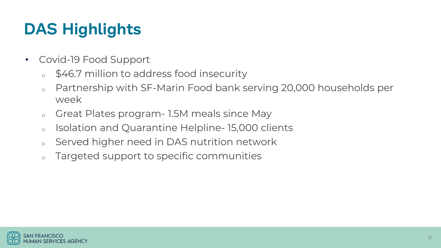# **DAS Highlights**

- Covid-19 Food Support
	- \$46.7 million to address food insecurity
	- o Partnership with SF-Marin Food bank serving 20,000 households per week
	- o Great Plates program 1.5M meals since May
	- <sup>o</sup> Isolation and Quarantine Helpline- 15,000 clients
	- <sup>o</sup> Served higher need in DAS nutrition network
	- o Targeted support to specific communities

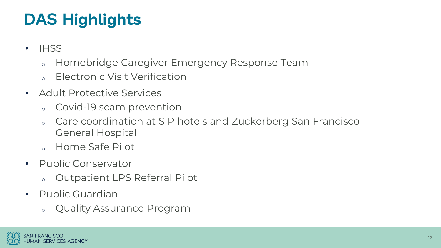# **DAS Highlights**

- IHSS
	- <sup>o</sup> Homebridge Caregiver Emergency Response Team
	- <sup>o</sup> Electronic Visit Verification
- Adult Protective Services
	- <sup>o</sup> Covid-19 scam prevention
	- Care coordination at SIP hotels and Zuckerberg San Francisco General Hospital
	- <sup>o</sup> Home Safe Pilot
- Public Conservator
	- <sup>o</sup> Outpatient LPS Referral Pilot
- Public Guardian
	- <sup>o</sup> Quality Assurance Program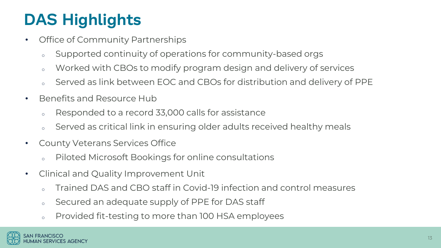# **DAS Highlights**

- Office of Community Partnerships
	- o Supported continuity of operations for community-based orgs
	- o Worked with CBOs to modify program design and delivery of services
	- Served as link between EOC and CBOs for distribution and delivery of PPE
- Benefits and Resource Hub
	- o Responded to a record 33,000 calls for assistance
	- Served as critical link in ensuring older adults received healthy meals
- County Veterans Services Office
	- Piloted Microsoft Bookings for online consultations
- Clinical and Quality Improvement Unit
	- o Trained DAS and CBO staff in Covid-19 infection and control measures
	- o Secured an adequate supply of PPE for DAS staff
	- o Provided fit-testing to more than 100 HSA employees